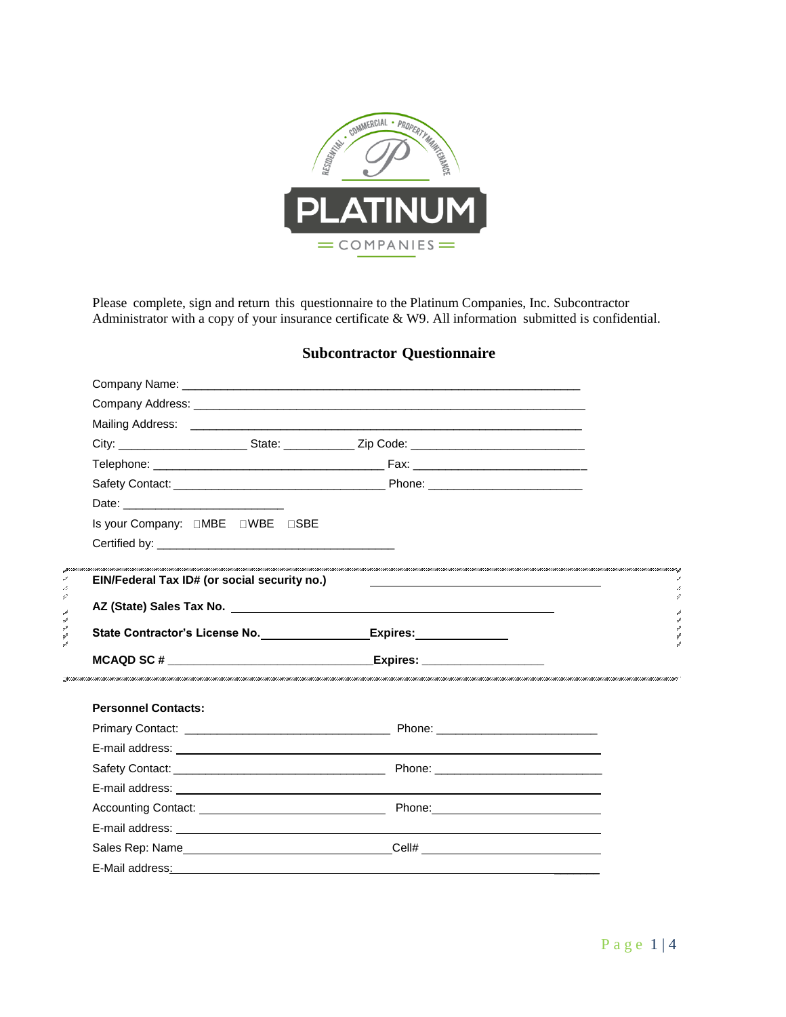

Please complete, sign and return this questionnaire to the Platinum Companies, Inc. Subcontractor Administrator with a copy of your insurance certificate & W9. All information submitted is confidential.

## **Subcontractor Questionnaire**

|    | Company Address: company and a series of the series of the series of the series of the series of the series of the series of the series of the series of the series of the series of the series of the series of the series of |  |
|----|--------------------------------------------------------------------------------------------------------------------------------------------------------------------------------------------------------------------------------|--|
|    |                                                                                                                                                                                                                                |  |
|    |                                                                                                                                                                                                                                |  |
|    |                                                                                                                                                                                                                                |  |
|    |                                                                                                                                                                                                                                |  |
|    |                                                                                                                                                                                                                                |  |
|    |                                                                                                                                                                                                                                |  |
|    |                                                                                                                                                                                                                                |  |
|    |                                                                                                                                                                                                                                |  |
| k, | EIN/Federal Tax ID# (or social security no.)                                                                                                                                                                                   |  |
| 4  |                                                                                                                                                                                                                                |  |
|    | State Contractor's License No. _______________________Expires: _________________                                                                                                                                               |  |
|    |                                                                                                                                                                                                                                |  |
|    |                                                                                                                                                                                                                                |  |
|    |                                                                                                                                                                                                                                |  |
|    | <b>Personnel Contacts:</b>                                                                                                                                                                                                     |  |
|    |                                                                                                                                                                                                                                |  |
|    |                                                                                                                                                                                                                                |  |
|    |                                                                                                                                                                                                                                |  |
|    |                                                                                                                                                                                                                                |  |
|    |                                                                                                                                                                                                                                |  |
|    |                                                                                                                                                                                                                                |  |
|    | Sales Rep: Name___________________________________Cell# ________________________                                                                                                                                               |  |
|    |                                                                                                                                                                                                                                |  |
|    |                                                                                                                                                                                                                                |  |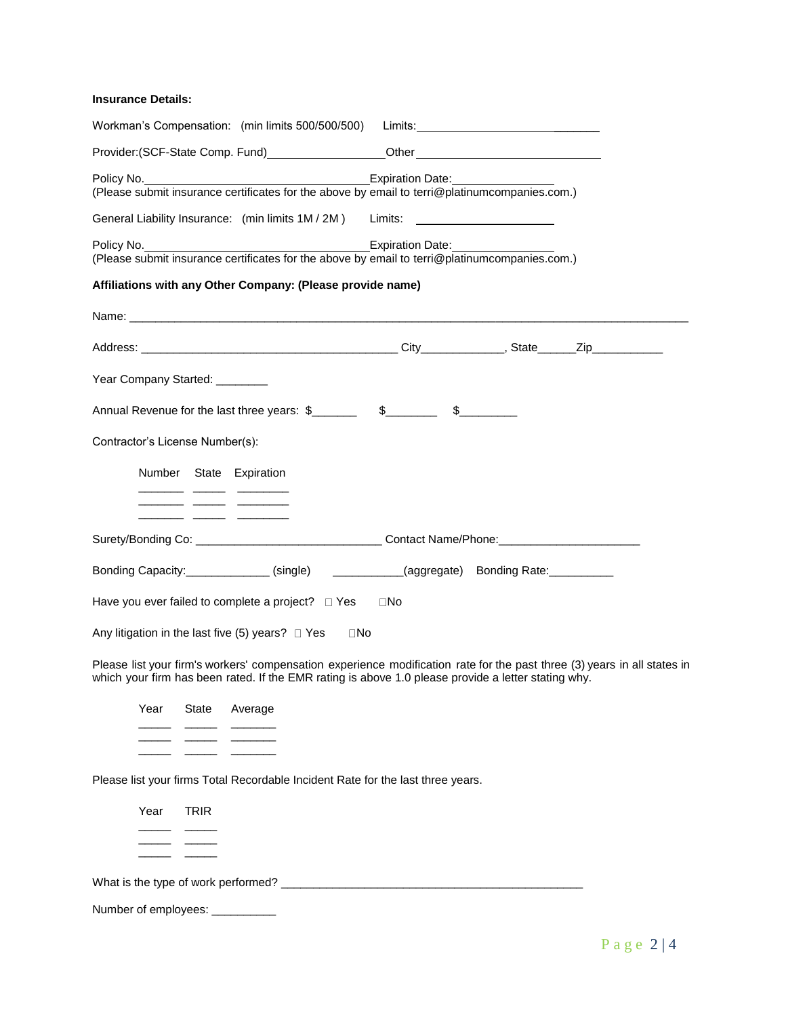## **Insurance Details:**

|                                 |                                                                      | Workman's Compensation: (min limits 500/500/500)                                                                                                                                                                                                                                                                                |     |                                                                                                                          |
|---------------------------------|----------------------------------------------------------------------|---------------------------------------------------------------------------------------------------------------------------------------------------------------------------------------------------------------------------------------------------------------------------------------------------------------------------------|-----|--------------------------------------------------------------------------------------------------------------------------|
|                                 |                                                                      |                                                                                                                                                                                                                                                                                                                                 |     |                                                                                                                          |
|                                 |                                                                      | (Please submit insurance certificates for the above by email to terri@platinumcompanies.com.)                                                                                                                                                                                                                                   |     |                                                                                                                          |
|                                 |                                                                      | General Liability Insurance: (min limits 1M / 2M) Limits: ______________________                                                                                                                                                                                                                                                |     |                                                                                                                          |
|                                 |                                                                      | Policy No. 2008 Contract Contract Contract Contract Contract Contract Contract Contract Contract Contract Contract Contract Contract Contract Contract Contract Contract Contract Contract Contract Contract Contract Contract<br>(Please submit insurance certificates for the above by email to terri@platinumcompanies.com.) |     |                                                                                                                          |
|                                 |                                                                      | Affiliations with any Other Company: (Please provide name)                                                                                                                                                                                                                                                                      |     |                                                                                                                          |
|                                 |                                                                      |                                                                                                                                                                                                                                                                                                                                 |     |                                                                                                                          |
|                                 |                                                                      |                                                                                                                                                                                                                                                                                                                                 |     |                                                                                                                          |
| Year Company Started: _______   |                                                                      |                                                                                                                                                                                                                                                                                                                                 |     |                                                                                                                          |
|                                 |                                                                      |                                                                                                                                                                                                                                                                                                                                 |     |                                                                                                                          |
| Contractor's License Number(s): |                                                                      |                                                                                                                                                                                                                                                                                                                                 |     |                                                                                                                          |
|                                 | Number State Expiration<br><u> 1989 - Alexandr Marian, president</u> |                                                                                                                                                                                                                                                                                                                                 |     |                                                                                                                          |
|                                 |                                                                      |                                                                                                                                                                                                                                                                                                                                 |     | Surety/Bonding Co: __________________________________Contact Name/Phone:___________________________                      |
|                                 |                                                                      | Bonding Capacity: ____________(single) ___________(aggregate) Bonding Rate: _________                                                                                                                                                                                                                                           |     |                                                                                                                          |
|                                 |                                                                      | Have you ever failed to complete a project? $\Box$ Yes                                                                                                                                                                                                                                                                          | ⊡No |                                                                                                                          |
|                                 |                                                                      | Any litigation in the last five $(5)$ years? $\Box$ Yes<br>$\square$ No                                                                                                                                                                                                                                                         |     |                                                                                                                          |
|                                 |                                                                      | which your firm has been rated. If the EMR rating is above 1.0 please provide a letter stating why.                                                                                                                                                                                                                             |     | Please list your firm's workers' compensation experience modification rate for the past three (3) years in all states in |
| Year                            | State Average                                                        |                                                                                                                                                                                                                                                                                                                                 |     |                                                                                                                          |
|                                 |                                                                      |                                                                                                                                                                                                                                                                                                                                 |     |                                                                                                                          |
|                                 |                                                                      |                                                                                                                                                                                                                                                                                                                                 |     |                                                                                                                          |
|                                 |                                                                      | Please list your firms Total Recordable Incident Rate for the last three years.                                                                                                                                                                                                                                                 |     |                                                                                                                          |
| Year                            | <b>TRIR</b>                                                          |                                                                                                                                                                                                                                                                                                                                 |     |                                                                                                                          |
|                                 |                                                                      |                                                                                                                                                                                                                                                                                                                                 |     |                                                                                                                          |
|                                 |                                                                      |                                                                                                                                                                                                                                                                                                                                 |     |                                                                                                                          |
|                                 |                                                                      | Number of employees: ____________                                                                                                                                                                                                                                                                                               |     |                                                                                                                          |
|                                 |                                                                      |                                                                                                                                                                                                                                                                                                                                 |     |                                                                                                                          |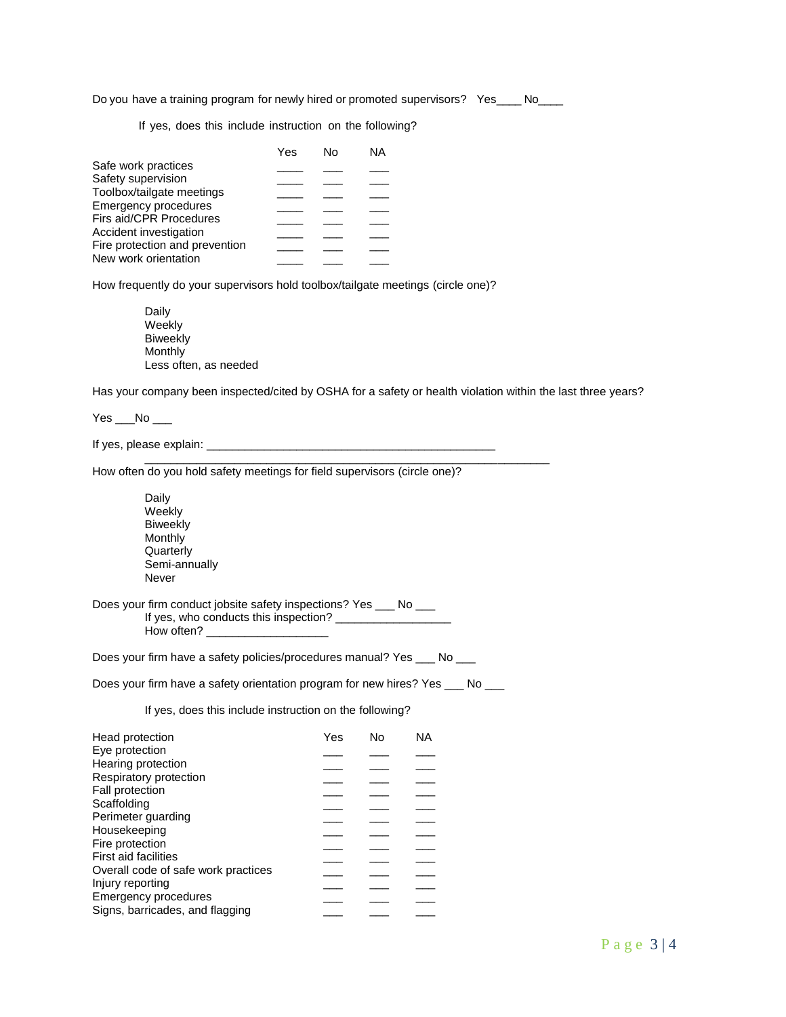Do you have a training program for newly hired or promoted supervisors? Yes\_\_\_\_ No\_\_\_\_

If yes, does this include instruction on the following?

|                                | Yes | N٥ | ΝA |
|--------------------------------|-----|----|----|
| Safe work practices            |     |    |    |
| Safety supervision             |     |    |    |
| Toolbox/tailgate meetings      |     |    |    |
| <b>Emergency procedures</b>    |     |    |    |
| Firs aid/CPR Procedures        |     |    |    |
| Accident investigation         |     |    |    |
| Fire protection and prevention |     |    |    |
| New work orientation           |     |    |    |

How frequently do your supervisors hold toolbox/tailgate meetings (circle one)?

Daily **Weekly** Biweekly **Monthly** Less often, as needed

Has your company been inspected/cited by OSHA for a safety or health violation within the last three years?

\_\_\_\_\_\_\_\_\_\_\_\_\_\_\_\_\_\_\_\_\_\_\_\_\_\_\_\_\_\_\_\_\_\_\_\_\_\_\_\_\_\_\_\_\_\_\_\_\_\_\_\_\_\_\_\_\_\_\_\_\_\_\_

 $Yes$   $No$   $\_\_$ 

If yes, please explain: \_\_\_\_\_\_\_\_\_\_\_\_\_\_\_\_\_\_\_\_\_\_\_\_\_\_\_\_\_\_\_\_\_\_\_\_\_\_\_\_\_\_\_\_\_

How often do you hold safety meetings for field supervisors (circle one)?

Daily Weekly **Biweekly Monthly Quarterly** Semi-annually Never

Does your firm conduct jobsite safety inspections? Yes \_\_\_ No \_\_\_ If yes, who conducts this inspection? How often?

Does your firm have a safety policies/procedures manual? Yes \_\_\_ No \_\_\_

Does your firm have a safety orientation program for new hires? Yes \_\_\_ No \_\_\_

If yes, does this include instruction on the following?

| Yes | Nο | ΝA |
|-----|----|----|
|     |    |    |
|     |    |    |
|     |    |    |
|     |    |    |
|     |    |    |
|     |    |    |
|     |    |    |
|     |    |    |
|     |    |    |
|     |    |    |
|     |    |    |
|     |    |    |
|     |    |    |
|     |    |    |